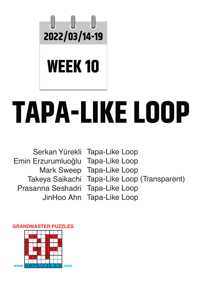

# **TAPA-LIKE LOOP**

Emin Erzurumluoğlu Tapa-Like Loop Prasanna Seshadri Tapa-Like Loop

Serkan Yürekli Tapa-Like Loop Mark Sweep Tapa-Like Loop Takeya Saikachi Tapa-Like Loop (Transparent)

#### **GRANDMASTER PUZZLES**

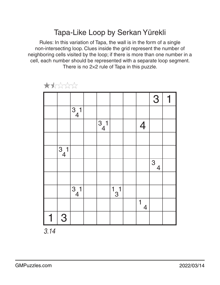## Tapa-Like Loop by Serkan Yürekli

Rules: In this variation of Tapa, the wall is in the form of a single non-intersecting loop. Clues inside the grid represent the number of neighboring cells visited by the loop; if there is more than one number in a cell, each number should be represented with a separate loop segment. There is no 2×2 rule of Tapa in this puzzle.



大大公公公

*3.14*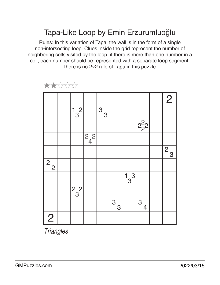### Tapa-Like Loop by Emin Erzurumluoğlu

Rules: In this variation of Tapa, the wall is in the form of a single non-intersecting loop. Clues inside the grid represent the number of neighboring cells visited by the loop; if there is more than one number in a cell, each number should be represented with a separate loop segment. There is no 2×2 rule of Tapa in this puzzle.

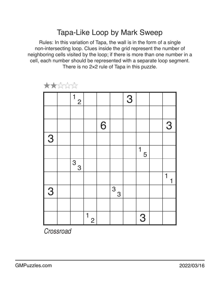### Tapa-Like Loop by Mark Sweep

Rules: In this variation of Tapa, the wall is in the form of a single non-intersecting loop. Clues inside the grid represent the number of neighboring cells visited by the loop; if there is more than one number in a cell, each number should be represented with a separate loop segment. There is no 2×2 rule of Tapa in this puzzle.



★★☆☆☆

*Crossroad*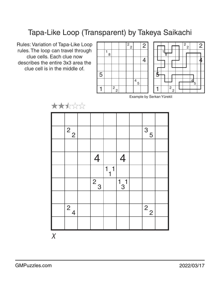# Tapa-Like Loop (Transparent) by Takeya Saikachi

Rules: Variation of Tapa-Like Loop rules. The loop can travel through clue cells. Each clue now describes the entire 3x3 area the clue cell is in the middle of.







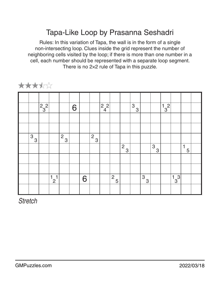# Tapa-Like Loop by Prasanna Seshadri

Rules: In this variation of Tapa, the wall is in the form of a single non-intersecting loop. Clues inside the grid represent the number of neighboring cells visited by the loop; if there is more than one number in a cell, each number should be represented with a separate loop segment. There is no 2×2 rule of Tapa in this puzzle.



★★★★☆

*Stretch*